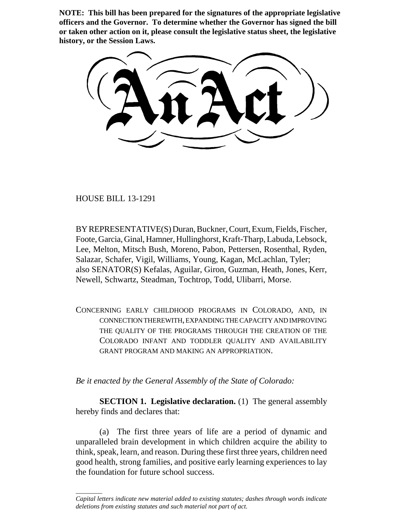**NOTE: This bill has been prepared for the signatures of the appropriate legislative officers and the Governor. To determine whether the Governor has signed the bill or taken other action on it, please consult the legislative status sheet, the legislative history, or the Session Laws.**

HOUSE BILL 13-1291

\_\_\_\_\_\_\_\_

BY REPRESENTATIVE(S) Duran, Buckner, Court, Exum, Fields, Fischer, Foote, Garcia, Ginal, Hamner, Hullinghorst, Kraft-Tharp, Labuda, Lebsock, Lee, Melton, Mitsch Bush, Moreno, Pabon, Pettersen, Rosenthal, Ryden, Salazar, Schafer, Vigil, Williams, Young, Kagan, McLachlan, Tyler; also SENATOR(S) Kefalas, Aguilar, Giron, Guzman, Heath, Jones, Kerr, Newell, Schwartz, Steadman, Tochtrop, Todd, Ulibarri, Morse.

CONCERNING EARLY CHILDHOOD PROGRAMS IN COLORADO, AND, IN CONNECTION THEREWITH, EXPANDING THE CAPACITY AND IMPROVING THE QUALITY OF THE PROGRAMS THROUGH THE CREATION OF THE COLORADO INFANT AND TODDLER QUALITY AND AVAILABILITY GRANT PROGRAM AND MAKING AN APPROPRIATION.

*Be it enacted by the General Assembly of the State of Colorado:*

**SECTION 1. Legislative declaration.** (1) The general assembly hereby finds and declares that:

(a) The first three years of life are a period of dynamic and unparalleled brain development in which children acquire the ability to think, speak, learn, and reason. During these first three years, children need good health, strong families, and positive early learning experiences to lay the foundation for future school success.

*Capital letters indicate new material added to existing statutes; dashes through words indicate deletions from existing statutes and such material not part of act.*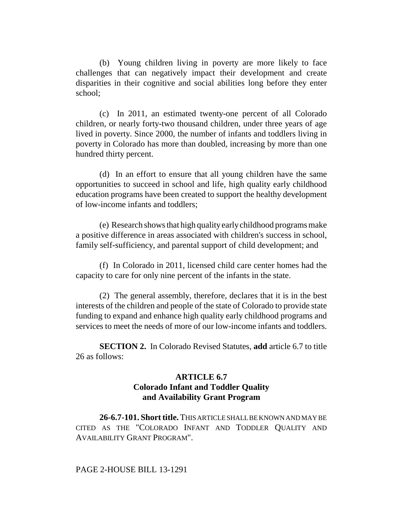(b) Young children living in poverty are more likely to face challenges that can negatively impact their development and create disparities in their cognitive and social abilities long before they enter school;

(c) In 2011, an estimated twenty-one percent of all Colorado children, or nearly forty-two thousand children, under three years of age lived in poverty. Since 2000, the number of infants and toddlers living in poverty in Colorado has more than doubled, increasing by more than one hundred thirty percent.

(d) In an effort to ensure that all young children have the same opportunities to succeed in school and life, high quality early childhood education programs have been created to support the healthy development of low-income infants and toddlers;

(e) Research shows that high quality early childhood programs make a positive difference in areas associated with children's success in school, family self-sufficiency, and parental support of child development; and

(f) In Colorado in 2011, licensed child care center homes had the capacity to care for only nine percent of the infants in the state.

(2) The general assembly, therefore, declares that it is in the best interests of the children and people of the state of Colorado to provide state funding to expand and enhance high quality early childhood programs and services to meet the needs of more of our low-income infants and toddlers.

**SECTION 2.** In Colorado Revised Statutes, **add** article 6.7 to title 26 as follows:

## **ARTICLE 6.7 Colorado Infant and Toddler Quality and Availability Grant Program**

**26-6.7-101. Short title.** THIS ARTICLE SHALL BE KNOWN AND MAY BE CITED AS THE "COLORADO INFANT AND TODDLER QUALITY AND AVAILABILITY GRANT PROGRAM".

PAGE 2-HOUSE BILL 13-1291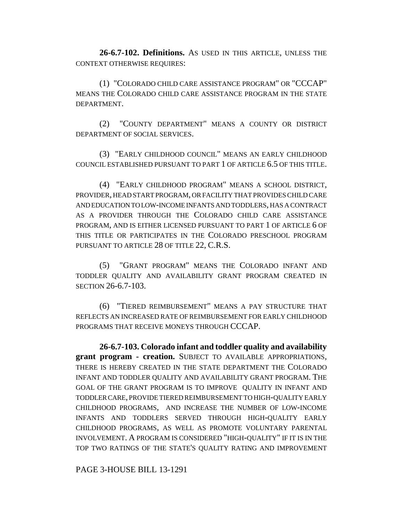**26-6.7-102. Definitions.** AS USED IN THIS ARTICLE, UNLESS THE CONTEXT OTHERWISE REQUIRES:

(1) "COLORADO CHILD CARE ASSISTANCE PROGRAM" OR "CCCAP" MEANS THE COLORADO CHILD CARE ASSISTANCE PROGRAM IN THE STATE DEPARTMENT.

(2) "COUNTY DEPARTMENT" MEANS A COUNTY OR DISTRICT DEPARTMENT OF SOCIAL SERVICES.

(3) "EARLY CHILDHOOD COUNCIL" MEANS AN EARLY CHILDHOOD COUNCIL ESTABLISHED PURSUANT TO PART 1 OF ARTICLE 6.5 OF THIS TITLE.

(4) "EARLY CHILDHOOD PROGRAM" MEANS A SCHOOL DISTRICT, PROVIDER, HEAD START PROGRAM, OR FACILITY THAT PROVIDES CHILD CARE AND EDUCATION TO LOW-INCOME INFANTS AND TODDLERS, HAS A CONTRACT AS A PROVIDER THROUGH THE COLORADO CHILD CARE ASSISTANCE PROGRAM, AND IS EITHER LICENSED PURSUANT TO PART 1 OF ARTICLE 6 OF THIS TITLE OR PARTICIPATES IN THE COLORADO PRESCHOOL PROGRAM PURSUANT TO ARTICLE 28 OF TITLE 22, C.R.S.

(5) "GRANT PROGRAM" MEANS THE COLORADO INFANT AND TODDLER QUALITY AND AVAILABILITY GRANT PROGRAM CREATED IN SECTION 26-6.7-103.

(6) "TIERED REIMBURSEMENT" MEANS A PAY STRUCTURE THAT REFLECTS AN INCREASED RATE OF REIMBURSEMENT FOR EARLY CHILDHOOD PROGRAMS THAT RECEIVE MONEYS THROUGH CCCAP.

**26-6.7-103. Colorado infant and toddler quality and availability grant program - creation.** SUBJECT TO AVAILABLE APPROPRIATIONS, THERE IS HEREBY CREATED IN THE STATE DEPARTMENT THE COLORADO INFANT AND TODDLER QUALITY AND AVAILABILITY GRANT PROGRAM. THE GOAL OF THE GRANT PROGRAM IS TO IMPROVE QUALITY IN INFANT AND TODDLER CARE, PROVIDE TIERED REIMBURSEMENT TO HIGH-QUALITY EARLY CHILDHOOD PROGRAMS, AND INCREASE THE NUMBER OF LOW-INCOME INFANTS AND TODDLERS SERVED THROUGH HIGH-QUALITY EARLY CHILDHOOD PROGRAMS, AS WELL AS PROMOTE VOLUNTARY PARENTAL INVOLVEMENT. A PROGRAM IS CONSIDERED "HIGH-QUALITY" IF IT IS IN THE TOP TWO RATINGS OF THE STATE'S QUALITY RATING AND IMPROVEMENT

PAGE 3-HOUSE BILL 13-1291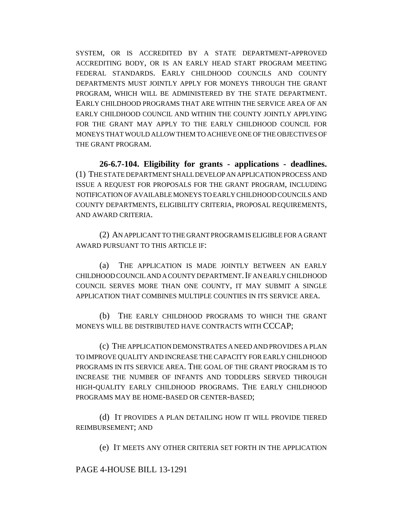SYSTEM, OR IS ACCREDITED BY A STATE DEPARTMENT-APPROVED ACCREDITING BODY, OR IS AN EARLY HEAD START PROGRAM MEETING FEDERAL STANDARDS. EARLY CHILDHOOD COUNCILS AND COUNTY DEPARTMENTS MUST JOINTLY APPLY FOR MONEYS THROUGH THE GRANT PROGRAM, WHICH WILL BE ADMINISTERED BY THE STATE DEPARTMENT. EARLY CHILDHOOD PROGRAMS THAT ARE WITHIN THE SERVICE AREA OF AN EARLY CHILDHOOD COUNCIL AND WITHIN THE COUNTY JOINTLY APPLYING FOR THE GRANT MAY APPLY TO THE EARLY CHILDHOOD COUNCIL FOR MONEYS THAT WOULD ALLOW THEM TO ACHIEVE ONE OF THE OBJECTIVES OF THE GRANT PROGRAM.

**26-6.7-104. Eligibility for grants - applications - deadlines.** (1) THE STATE DEPARTMENT SHALL DEVELOP AN APPLICATION PROCESS AND ISSUE A REQUEST FOR PROPOSALS FOR THE GRANT PROGRAM, INCLUDING NOTIFICATION OF AVAILABLE MONEYS TO EARLY CHILDHOOD COUNCILS AND COUNTY DEPARTMENTS, ELIGIBILITY CRITERIA, PROPOSAL REQUIREMENTS, AND AWARD CRITERIA.

(2) AN APPLICANT TO THE GRANT PROGRAM IS ELIGIBLE FOR A GRANT AWARD PURSUANT TO THIS ARTICLE IF:

(a) THE APPLICATION IS MADE JOINTLY BETWEEN AN EARLY CHILDHOOD COUNCIL AND A COUNTY DEPARTMENT. IF AN EARLY CHILDHOOD COUNCIL SERVES MORE THAN ONE COUNTY, IT MAY SUBMIT A SINGLE APPLICATION THAT COMBINES MULTIPLE COUNTIES IN ITS SERVICE AREA.

(b) THE EARLY CHILDHOOD PROGRAMS TO WHICH THE GRANT MONEYS WILL BE DISTRIBUTED HAVE CONTRACTS WITH CCCAP;

(c) THE APPLICATION DEMONSTRATES A NEED AND PROVIDES A PLAN TO IMPROVE QUALITY AND INCREASE THE CAPACITY FOR EARLY CHILDHOOD PROGRAMS IN ITS SERVICE AREA. THE GOAL OF THE GRANT PROGRAM IS TO INCREASE THE NUMBER OF INFANTS AND TODDLERS SERVED THROUGH HIGH-QUALITY EARLY CHILDHOOD PROGRAMS. THE EARLY CHILDHOOD PROGRAMS MAY BE HOME-BASED OR CENTER-BASED;

(d) IT PROVIDES A PLAN DETAILING HOW IT WILL PROVIDE TIERED REIMBURSEMENT; AND

(e) IT MEETS ANY OTHER CRITERIA SET FORTH IN THE APPLICATION

PAGE 4-HOUSE BILL 13-1291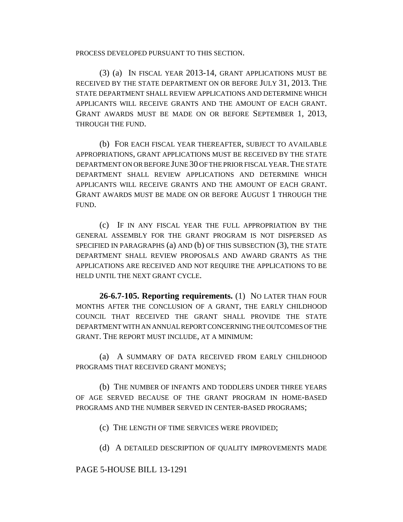PROCESS DEVELOPED PURSUANT TO THIS SECTION.

(3) (a) IN FISCAL YEAR 2013-14, GRANT APPLICATIONS MUST BE RECEIVED BY THE STATE DEPARTMENT ON OR BEFORE JULY 31, 2013. THE STATE DEPARTMENT SHALL REVIEW APPLICATIONS AND DETERMINE WHICH APPLICANTS WILL RECEIVE GRANTS AND THE AMOUNT OF EACH GRANT. GRANT AWARDS MUST BE MADE ON OR BEFORE SEPTEMBER 1, 2013, THROUGH THE FUND.

(b) FOR EACH FISCAL YEAR THEREAFTER, SUBJECT TO AVAILABLE APPROPRIATIONS, GRANT APPLICATIONS MUST BE RECEIVED BY THE STATE DEPARTMENT ON OR BEFORE JUNE 30 OF THE PRIOR FISCAL YEAR. THE STATE DEPARTMENT SHALL REVIEW APPLICATIONS AND DETERMINE WHICH APPLICANTS WILL RECEIVE GRANTS AND THE AMOUNT OF EACH GRANT. GRANT AWARDS MUST BE MADE ON OR BEFORE AUGUST 1 THROUGH THE FUND.

(c) IF IN ANY FISCAL YEAR THE FULL APPROPRIATION BY THE GENERAL ASSEMBLY FOR THE GRANT PROGRAM IS NOT DISPERSED AS SPECIFIED IN PARAGRAPHS (a) AND (b) OF THIS SUBSECTION (3), THE STATE DEPARTMENT SHALL REVIEW PROPOSALS AND AWARD GRANTS AS THE APPLICATIONS ARE RECEIVED AND NOT REQUIRE THE APPLICATIONS TO BE HELD UNTIL THE NEXT GRANT CYCLE.

**26-6.7-105. Reporting requirements.** (1) NO LATER THAN FOUR MONTHS AFTER THE CONCLUSION OF A GRANT, THE EARLY CHILDHOOD COUNCIL THAT RECEIVED THE GRANT SHALL PROVIDE THE STATE DEPARTMENT WITH AN ANNUAL REPORT CONCERNING THE OUTCOMES OF THE GRANT. THE REPORT MUST INCLUDE, AT A MINIMUM:

(a) A SUMMARY OF DATA RECEIVED FROM EARLY CHILDHOOD PROGRAMS THAT RECEIVED GRANT MONEYS;

(b) THE NUMBER OF INFANTS AND TODDLERS UNDER THREE YEARS OF AGE SERVED BECAUSE OF THE GRANT PROGRAM IN HOME-BASED PROGRAMS AND THE NUMBER SERVED IN CENTER-BASED PROGRAMS;

(c) THE LENGTH OF TIME SERVICES WERE PROVIDED;

(d) A DETAILED DESCRIPTION OF QUALITY IMPROVEMENTS MADE

## PAGE 5-HOUSE BILL 13-1291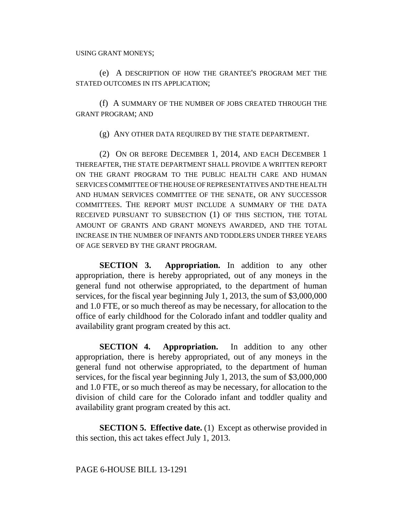(e) A DESCRIPTION OF HOW THE GRANTEE'S PROGRAM MET THE STATED OUTCOMES IN ITS APPLICATION;

(f) A SUMMARY OF THE NUMBER OF JOBS CREATED THROUGH THE GRANT PROGRAM; AND

(g) ANY OTHER DATA REQUIRED BY THE STATE DEPARTMENT.

(2) ON OR BEFORE DECEMBER 1, 2014, AND EACH DECEMBER 1 THEREAFTER, THE STATE DEPARTMENT SHALL PROVIDE A WRITTEN REPORT ON THE GRANT PROGRAM TO THE PUBLIC HEALTH CARE AND HUMAN SERVICES COMMITTEE OF THE HOUSE OF REPRESENTATIVES AND THE HEALTH AND HUMAN SERVICES COMMITTEE OF THE SENATE, OR ANY SUCCESSOR COMMITTEES. THE REPORT MUST INCLUDE A SUMMARY OF THE DATA RECEIVED PURSUANT TO SUBSECTION (1) OF THIS SECTION, THE TOTAL AMOUNT OF GRANTS AND GRANT MONEYS AWARDED, AND THE TOTAL INCREASE IN THE NUMBER OF INFANTS AND TODDLERS UNDER THREE YEARS OF AGE SERVED BY THE GRANT PROGRAM.

**SECTION 3. Appropriation.** In addition to any other appropriation, there is hereby appropriated, out of any moneys in the general fund not otherwise appropriated, to the department of human services, for the fiscal year beginning July 1, 2013, the sum of \$3,000,000 and 1.0 FTE, or so much thereof as may be necessary, for allocation to the office of early childhood for the Colorado infant and toddler quality and availability grant program created by this act.

**SECTION 4. Appropriation.** In addition to any other appropriation, there is hereby appropriated, out of any moneys in the general fund not otherwise appropriated, to the department of human services, for the fiscal year beginning July 1, 2013, the sum of \$3,000,000 and 1.0 FTE, or so much thereof as may be necessary, for allocation to the division of child care for the Colorado infant and toddler quality and availability grant program created by this act.

**SECTION 5. Effective date.** (1) Except as otherwise provided in this section, this act takes effect July 1, 2013.

PAGE 6-HOUSE BILL 13-1291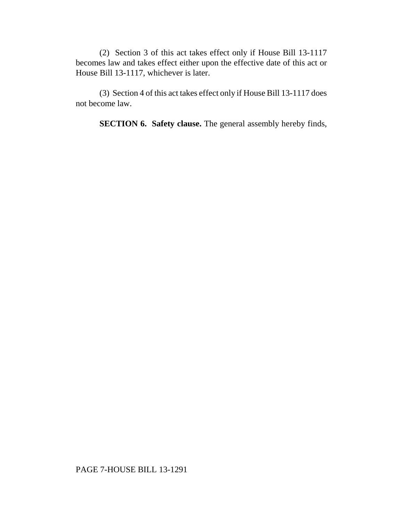(2) Section 3 of this act takes effect only if House Bill 13-1117 becomes law and takes effect either upon the effective date of this act or House Bill 13-1117, whichever is later.

(3) Section 4 of this act takes effect only if House Bill 13-1117 does not become law.

**SECTION 6. Safety clause.** The general assembly hereby finds,